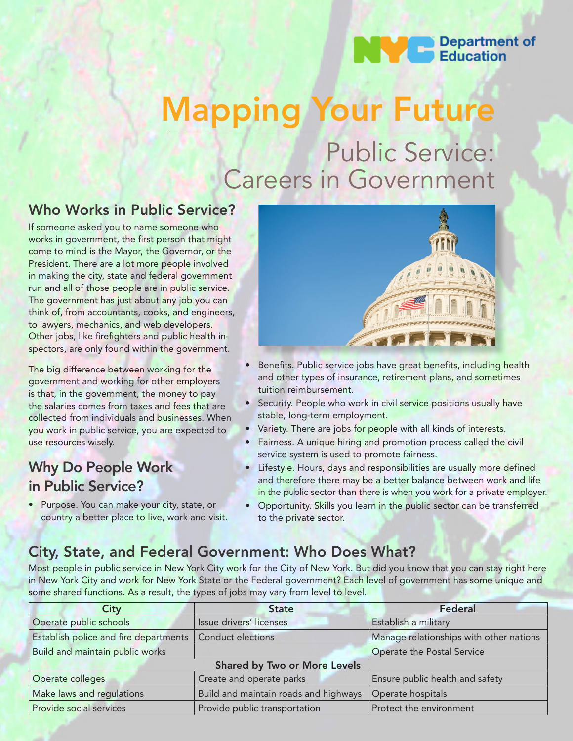# **Department of**<br>Education

# Mapping Your Future

## Public Service: Careers in Government

### Who Works in Public Service?

If someone asked you to name someone who works in government, the first person that might come to mind is the Mayor, the Governor, or the President. There are a lot more people involved in making the city, state and federal government run and all of those people are in public service. The government has just about any job you can think of, from accountants, cooks, and engineers, to lawyers, mechanics, and web developers. Other jobs, like firefighters and public health inspectors, are only found within the government.

The big difference between working for the government and working for other employers is that, in the government, the money to pay the salaries comes from taxes and fees that are collected from individuals and businesses. When you work in public service, you are expected to use resources wisely.

### Why Do People Work in Public Service?

• Purpose. You can make your city, state, or country a better place to live, work and visit.



- Benefits. Public service jobs have great benefits, including health and other types of insurance, retirement plans, and sometimes tuition reimbursement.
- Security. People who work in civil service positions usually have stable, long-term employment.
- Variety. There are jobs for people with all kinds of interests.
- Fairness. A unique hiring and promotion process called the civil service system is used to promote fairness.
- Lifestyle. Hours, days and responsibilities are usually more defined and therefore there may be a better balance between work and life in the public sector than there is when you work for a private employer.
- Opportunity. Skills you learn in the public sector can be transferred to the private sector.

## City, State, and Federal Government: Who Does What?

Most people in public service in New York City work for the City of New York. But did you know that you can stay right here in New York City and work for New York State or the Federal government? Each level of government has some unique and some shared functions. As a result, the types of jobs may vary from level to level.

| City                                  | <b>State</b>                          | Federal                                 |  |  |  |
|---------------------------------------|---------------------------------------|-----------------------------------------|--|--|--|
| Operate public schools                | Issue drivers' licenses               | Establish a military                    |  |  |  |
| Establish police and fire departments | <b>Conduct elections</b>              | Manage relationships with other nations |  |  |  |
| Build and maintain public works       |                                       | Operate the Postal Service              |  |  |  |
|                                       | <b>Shared by Two or More Levels</b>   |                                         |  |  |  |
| Operate colleges                      | Create and operate parks              | Ensure public health and safety         |  |  |  |
| Make laws and regulations             | Build and maintain roads and highways | Operate hospitals                       |  |  |  |
| Provide social services               | Provide public transportation         | Protect the environment                 |  |  |  |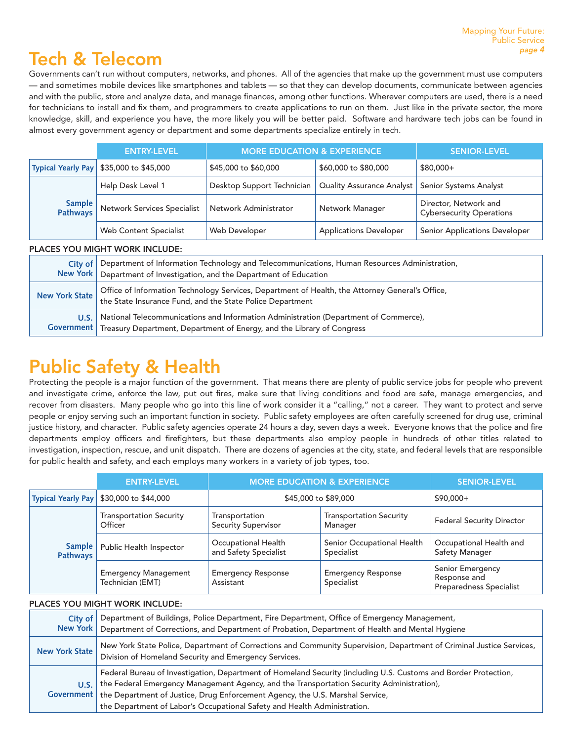## Tech & Telecom

Governments can't run without computers, networks, and phones. All of the agencies that make up the government must use computers — and sometimes mobile devices like smartphones and tablets — so that they can develop documents, communicate between agencies and with the public, store and analyze data, and manage finances, among other functions. Wherever computers are used, there is a need for technicians to install and fix them, and programmers to create applications to run on them. Just like in the private sector, the more knowledge, skill, and experience you have, the more likely you will be better paid. Software and hardware tech jobs can be found in almost every government agency or department and some departments specialize entirely in tech.

|  |                           | <b>ENTRY-LEVEL</b>          | <b>MORE EDUCATION &amp; EXPERIENCE</b> |                                                    | <b>SENIOR-LEVEL</b>                                      |
|--|---------------------------|-----------------------------|----------------------------------------|----------------------------------------------------|----------------------------------------------------------|
|  | <b>Typical Yearly Pay</b> | \$35,000 to \$45,000        | \$45,000 to \$60,000                   | \$60,000 to \$80,000                               | $$80,000+$                                               |
|  | Sample<br>Pathways        | Help Desk Level 1           | Desktop Support Technician             | Quality Assurance Analyst   Senior Systems Analyst |                                                          |
|  |                           | Network Services Specialist | Network Administrator                  | Network Manager                                    | Director, Network and<br><b>Cybersecurity Operations</b> |
|  |                           | Web Content Specialist      | Web Developer                          | <b>Applications Developer</b>                      | <b>Senior Applications Developer</b>                     |

#### PLACES YOU MIGHT WORK INCLUDE:

| Department of Information Technology and Telecommunications, Human Resources Administration,<br>City of I<br>New York   Department of Investigation, and the Department of Education |                                                                                                                                                                             |
|--------------------------------------------------------------------------------------------------------------------------------------------------------------------------------------|-----------------------------------------------------------------------------------------------------------------------------------------------------------------------------|
| New York State                                                                                                                                                                       | Office of Information Technology Services, Department of Health, the Attorney General's Office,<br>the State Insurance Fund, and the State Police Department                |
| U.S.                                                                                                                                                                                 | National Telecommunications and Information Administration (Department of Commerce),<br>Government   Treasury Department, Department of Energy, and the Library of Congress |

## Public Safety & Health

Protecting the people is a major function of the government. That means there are plenty of public service jobs for people who prevent and investigate crime, enforce the law, put out fires, make sure that living conditions and food are safe, manage emergencies, and recover from disasters. Many people who go into this line of work consider it a "calling," not a career. They want to protect and serve people or enjoy serving such an important function in society. Public safety employees are often carefully screened for drug use, criminal justice history, and character. Public safety agencies operate 24 hours a day, seven days a week. Everyone knows that the police and fire departments employ officers and firefighters, but these departments also employ people in hundreds of other titles related to investigation, inspection, rescue, and unit dispatch. There are dozens of agencies at the city, state, and federal levels that are responsible for public health and safety, and each employs many workers in a variety of job types, too.

|                           | <b>ENTRY-LEVEL</b>                              | <b>MORE EDUCATION &amp; EXPERIENCE</b>       |                                           | <b>SENIOR-LEVEL</b>                                                |
|---------------------------|-------------------------------------------------|----------------------------------------------|-------------------------------------------|--------------------------------------------------------------------|
| <b>Typical Yearly Pay</b> | \$30,000 to \$44,000                            | \$45,000 to \$89,000                         |                                           | $$90.000+$                                                         |
|                           | <b>Transportation Security</b><br>Officer       | Transportation<br><b>Security Supervisor</b> | <b>Transportation Security</b><br>Manager | <b>Federal Security Director</b>                                   |
| Sample<br><b>Pathways</b> | Public Health Inspector                         | Occupational Health<br>and Safety Specialist | Senior Occupational Health<br>Specialist  | Occupational Health and<br>Safety Manager                          |
|                           | <b>Emergency Management</b><br>Technician (EMT) | <b>Emergency Response</b><br>Assistant       | <b>Emergency Response</b><br>Specialist   | Senior Emergency<br>Response and<br><b>Preparedness Specialist</b> |

#### PLACES YOU MIGHT WORK INCLUDE:

| City of               | Department of Buildings, Police Department, Fire Department, Office of Emergency Management,<br>New York   Department of Corrections, and Department of Probation, Department of Health and Mental Hygiene                                                                                                                                                                             |
|-----------------------|----------------------------------------------------------------------------------------------------------------------------------------------------------------------------------------------------------------------------------------------------------------------------------------------------------------------------------------------------------------------------------------|
| <b>New York State</b> | New York State Police, Department of Corrections and Community Supervision, Department of Criminal Justice Services,<br>Division of Homeland Security and Emergency Services.                                                                                                                                                                                                          |
| <b>U.S.</b> 1         | Federal Bureau of Investigation, Department of Homeland Security (including U.S. Customs and Border Protection,<br>the Federal Emergency Management Agency, and the Transportation Security Administration),<br>Government   the Department of Justice, Drug Enforcement Agency, the U.S. Marshal Service,<br>the Department of Labor's Occupational Safety and Health Administration. |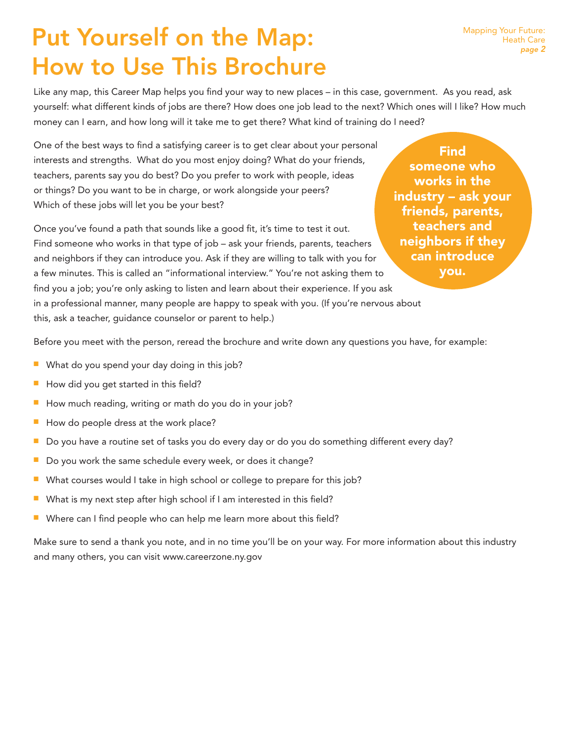## Put Yourself on the Map: How to Use This Brochure

Like any map, this Career Map helps you find your way to new places – in this case, government. As you read, ask yourself: what different kinds of jobs are there? How does one job lead to the next? Which ones will I like? How much money can I earn, and how long will it take me to get there? What kind of training do I need?

One of the best ways to find a satisfying career is to get clear about your personal interests and strengths. What do you most enjoy doing? What do your friends, teachers, parents say you do best? Do you prefer to work with people, ideas or things? Do you want to be in charge, or work alongside your peers? Which of these jobs will let you be your best?

Once you've found a path that sounds like a good fit, it's time to test it out. Find someone who works in that type of job – ask your friends, parents, teachers and neighbors if they can introduce you. Ask if they are willing to talk with you for a few minutes. This is called an "informational interview." You're not asking them to find you a job; you're only asking to listen and learn about their experience. If you ask in a professional manner, many people are happy to speak with you. (If you're nervous about this, ask a teacher, guidance counselor or parent to help.)

**Find** someone who works in the industry – ask your friends, parents, teachers and neighbors if they can introduce you.

Before you meet with the person, reread the brochure and write down any questions you have, for example:

- What do you spend your day doing in this job?
- $\blacksquare$  How did you get started in this field?
- $\blacksquare$  How much reading, writing or math do you do in your job?
- How do people dress at the work place?
- Do you have a routine set of tasks you do every day or do you do something different every day?
- $\blacksquare$  Do you work the same schedule every week, or does it change?
- $\blacksquare$  What courses would I take in high school or college to prepare for this job?
- $\blacksquare$  What is my next step after high school if I am interested in this field?
- Where can I find people who can help me learn more about this field?

Make sure to send a thank you note, and in no time you'll be on your way. For more information about this industry and many others, you can visit www.careerzone.ny.gov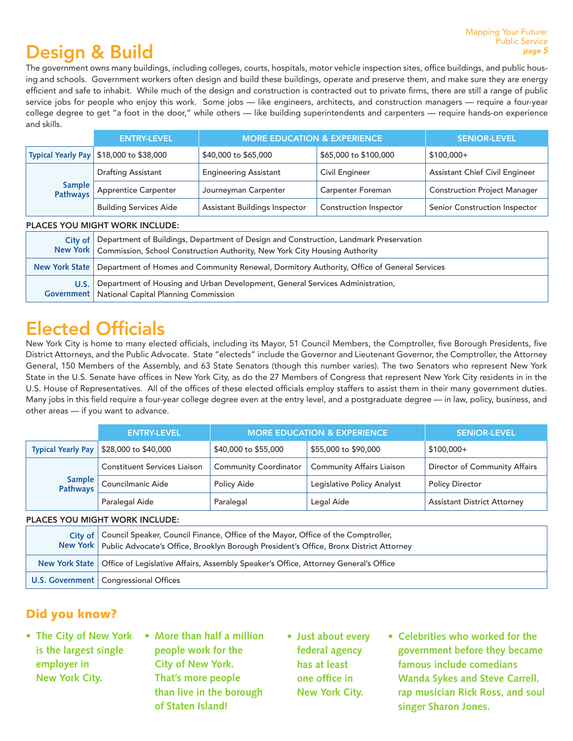#### Mapping Your Future: Public Service *page 5*

## Design & Build

The government owns many buildings, including colleges, courts, hospitals, motor vehicle inspection sites, office buildings, and public housing and schools. Government workers often design and build these buildings, operate and preserve them, and make sure they are energy efficient and safe to inhabit. While much of the design and construction is contracted out to private firms, there are still a range of public service jobs for people who enjoy this work. Some jobs — like engineers, architects, and construction managers — require a four-year college degree to get "a foot in the door," while others — like building superintendents and carpenters — require hands-on experience and skills.

| <b>ENTRY-LEVEL</b>                        | <b>MORE EDUCATION &amp; EXPERIENCE</b> |                               | <b>SENIOR-LEVEL</b>                   |
|-------------------------------------------|----------------------------------------|-------------------------------|---------------------------------------|
| Typical Yearly Pay   \$18,000 to \$38,000 | \$40,000 to \$65,000                   | \$65,000 to \$100,000         | $$100.000+$                           |
| <b>Drafting Assistant</b>                 | <b>Engineering Assistant</b>           | Civil Engineer                | <b>Assistant Chief Civil Engineer</b> |
| Sample<br>Pathways Apprentice Carpenter   | Journeyman Carpenter                   | <b>Carpenter Foreman</b>      | <b>Construction Project Manager</b>   |
| <b>Building Services Aide</b>             | Assistant Buildings Inspector          | <b>Construction Inspector</b> | Senior Construction Inspector         |

#### PLACES YOU MIGHT WORK INCLUDE:

| City of | Department of Buildings, Department of Design and Construction, Landmark Preservation<br>New York   Commission, School Construction Authority, New York City Housing Authority |
|---------|--------------------------------------------------------------------------------------------------------------------------------------------------------------------------------|
|         | New York State   Department of Homes and Community Renewal, Dormitory Authority, Office of General Services                                                                    |
| U.S.    | Department of Housing and Urban Development, General Services Administration,<br><b>Government</b>   National Capital Planning Commission                                      |

## Elected Officials

New York City is home to many elected officials, including its Mayor, 51 Council Members, the Comptroller, five Borough Presidents, five District Attorneys, and the Public Advocate. State "electeds" include the Governor and Lieutenant Governor, the Comptroller, the Attorney General, 150 Members of the Assembly, and 63 State Senators (though this number varies). The two Senators who represent New York State in the U.S. Senate have offices in New York City, as do the 27 Members of Congress that represent New York City residents in in the U.S. House of Representatives. All of the offices of these elected officials employ staffers to assist them in their many government duties. Many jobs in this field require a four-year college degree even at the entry level, and a postgraduate degree — in law, policy, business, and other areas — if you want to advance.

|  |                           | <b>ENTRY-LEVEL</b>                  | <b>MORE EDUCATION &amp; EXPERIENCE</b> |                                  | <b>SENIOR-LEVEL</b>                |
|--|---------------------------|-------------------------------------|----------------------------------------|----------------------------------|------------------------------------|
|  | <b>Typical Yearly Pay</b> | \$28,000 to \$40,000                | \$40,000 to \$55,000                   | \$55,000 to \$90,000             | $$100,000+$                        |
|  | Sample<br>Pathways        | <b>Constituent Services Liaison</b> | <b>Community Coordinator</b>           | <b>Community Affairs Liaison</b> | Director of Community Affairs      |
|  |                           | Councilmanic Aide                   | Policy Aide                            | Legislative Policy Analyst       | <b>Policy Director</b>             |
|  |                           | Paralegal Aide                      | Paralegal                              | Legal Aide                       | <b>Assistant District Attorney</b> |

#### PLACES YOU MIGHT WORK INCLUDE:

| City of   Council Speaker, Council Finance, Office of the Mayor, Office of the Comptroller,<br>New York   Public Advocate's Office, Brooklyn Borough President's Office, Bronx District Attorney |
|--------------------------------------------------------------------------------------------------------------------------------------------------------------------------------------------------|
| New York State   Office of Legislative Affairs, Assembly Speaker's Office, Attorney General's Office                                                                                             |
| U.S. Government   Congressional Offices                                                                                                                                                          |

#### Did you know?

- **• The City of New York is the largest single employer in New York City.**
- **• More than half a million people work for the City of New York. That's more people than live in the borough of Staten Island!**
- **• Just about every federal agency has at least one office in New York City.**
- **• Celebrities who worked for the government before they became famous include comedians Wanda Sykes and Steve Carrell, rap musician Rick Ross, and soul singer Sharon Jones.**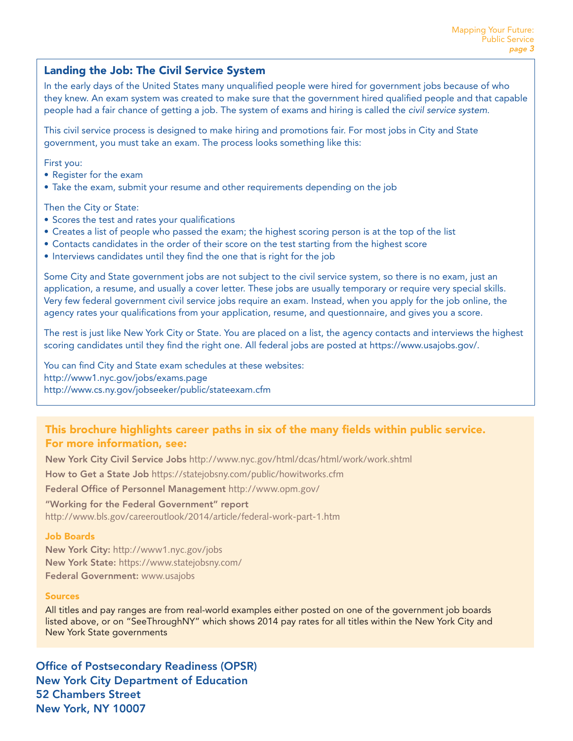#### Landing the Job: The Civil Service System

In the early days of the United States many unqualified people were hired for government jobs because of who they knew. An exam system was created to make sure that the government hired qualified people and that capable people had a fair chance of getting a job. The system of exams and hiring is called the *civil service system*.

This civil service process is designed to make hiring and promotions fair. For most jobs in City and State government, you must take an exam. The process looks something like this:

First you:

- Register for the exam
- Take the exam, submit your resume and other requirements depending on the job

Then the City or State:

- Scores the test and rates your qualifications
- Creates a list of people who passed the exam; the highest scoring person is at the top of the list
- Contacts candidates in the order of their score on the test starting from the highest score
- Interviews candidates until they find the one that is right for the job

Some City and State government jobs are not subject to the civil service system, so there is no exam, just an application, a resume, and usually a cover letter. These jobs are usually temporary or require very special skills. Very few federal government civil service jobs require an exam. Instead, when you apply for the job online, the agency rates your qualifications from your application, resume, and questionnaire, and gives you a score.

The rest is just like New York City or State. You are placed on a list, the agency contacts and interviews the highest scoring candidates until they find the right one. All federal jobs are posted at https://www.usajobs.gov/.

You can find City and State exam schedules at these websites: http://www1.nyc.gov/jobs/exams.page http://www.cs.ny.gov/jobseeker/public/stateexam.cfm

#### This brochure highlights career paths in six of the many fields within public service. For more information, see:

New York City Civil Service Jobs http://www.nyc.gov/html/dcas/html/work/work.shtml How to Get a State Job https://statejobsny.com/public/howitworks.cfm

Federal Office of Personnel Management http://www.opm.gov/

"Working for the Federal Government" report http://www.bls.gov/careeroutlook/2014/article/federal-work-part-1.htm

#### Job Boards

New York City: http://www1.nyc.gov/jobs New York State: https://www.statejobsny.com/ Federal Government: www.usajobs

#### Sources

All titles and pay ranges are from real-world examples either posted on one of the government job boards listed above, or on "SeeThroughNY" which shows 2014 pay rates for all titles within the New York City and New York State governments

Office of Postsecondary Readiness (OPSR) New York City Department of Education 52 Chambers Street New York, NY 10007